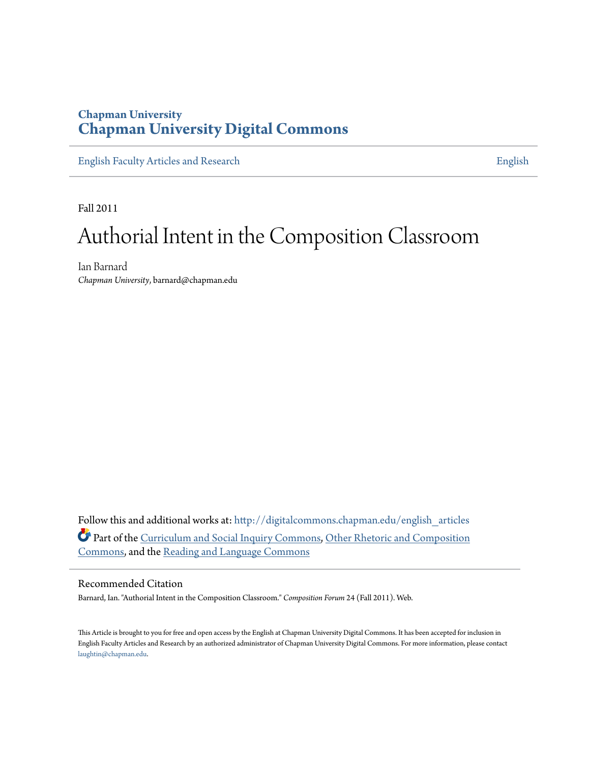# **Chapman University [Chapman University Digital Commons](http://digitalcommons.chapman.edu?utm_source=digitalcommons.chapman.edu%2Fenglish_articles%2F53&utm_medium=PDF&utm_campaign=PDFCoverPages)**

[English Faculty Articles and Research](http://digitalcommons.chapman.edu/english_articles?utm_source=digitalcommons.chapman.edu%2Fenglish_articles%2F53&utm_medium=PDF&utm_campaign=PDFCoverPages) **[English](http://digitalcommons.chapman.edu/english?utm_source=digitalcommons.chapman.edu%2Fenglish_articles%2F53&utm_medium=PDF&utm_campaign=PDFCoverPages)** 

Fall 2011

# Authorial Intent in the Composition Classroom

Ian Barnard *Chapman University*, barnard@chapman.edu

Follow this and additional works at: [http://digitalcommons.chapman.edu/english\\_articles](http://digitalcommons.chapman.edu/english_articles?utm_source=digitalcommons.chapman.edu%2Fenglish_articles%2F53&utm_medium=PDF&utm_campaign=PDFCoverPages) Part of the [Curriculum and Social Inquiry Commons](http://network.bepress.com/hgg/discipline/1038?utm_source=digitalcommons.chapman.edu%2Fenglish_articles%2F53&utm_medium=PDF&utm_campaign=PDFCoverPages), [Other Rhetoric and Composition](http://network.bepress.com/hgg/discipline/576?utm_source=digitalcommons.chapman.edu%2Fenglish_articles%2F53&utm_medium=PDF&utm_campaign=PDFCoverPages) [Commons,](http://network.bepress.com/hgg/discipline/576?utm_source=digitalcommons.chapman.edu%2Fenglish_articles%2F53&utm_medium=PDF&utm_campaign=PDFCoverPages) and the [Reading and Language Commons](http://network.bepress.com/hgg/discipline/1037?utm_source=digitalcommons.chapman.edu%2Fenglish_articles%2F53&utm_medium=PDF&utm_campaign=PDFCoverPages)

### Recommended Citation

Barnard, Ian. "Authorial Intent in the Composition Classroom." *Composition Forum* 24 (Fall 2011). Web.

This Article is brought to you for free and open access by the English at Chapman University Digital Commons. It has been accepted for inclusion in English Faculty Articles and Research by an authorized administrator of Chapman University Digital Commons. For more information, please contact [laughtin@chapman.edu](mailto:laughtin@chapman.edu).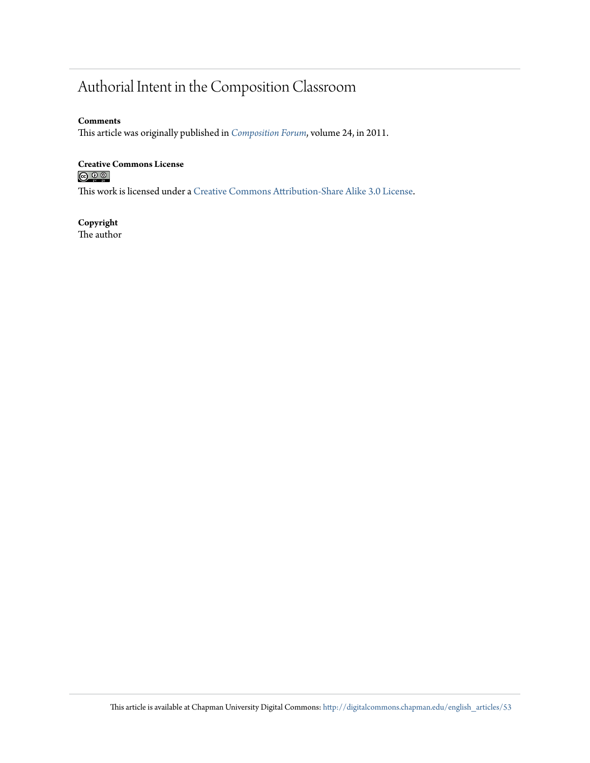# Authorial Intent in the Composition Classroom

### **Comments**

This article was originally published in *[Composition Forum](http://compositionforum.com/issue/24/authorial-intent.php)*, volume 24, in 2011.

# **Creative Commons License**

This work is licensed under a [Creative Commons Attribution-Share Alike 3.0 License.](http://creativecommons.org/licenses/by-sa/3.0/)

#### **Copyright** The author

This article is available at Chapman University Digital Commons: [http://digitalcommons.chapman.edu/english\\_articles/53](http://digitalcommons.chapman.edu/english_articles/53?utm_source=digitalcommons.chapman.edu%2Fenglish_articles%2F53&utm_medium=PDF&utm_campaign=PDFCoverPages)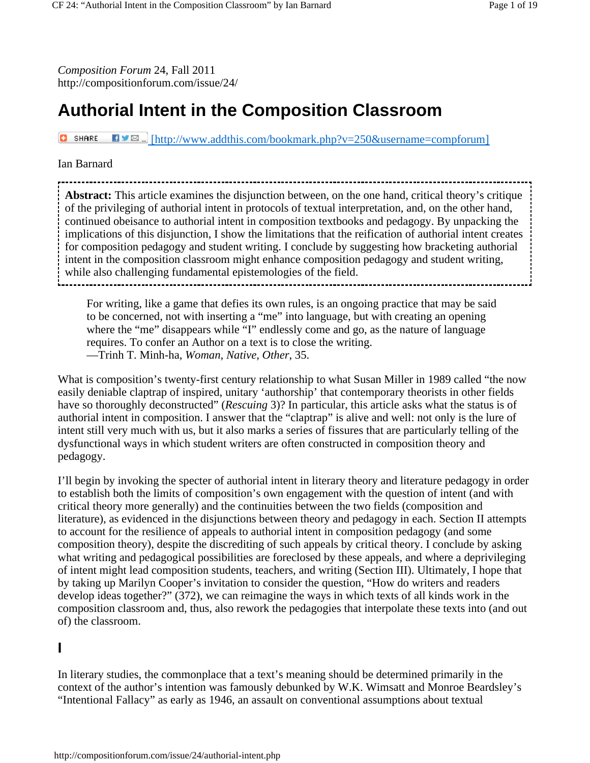*Composition Forum* 24, Fall 2011 http://compositionforum.com/issue/24/

# **Authorial Intent in the Composition Classroom**

**C** SHARE  $\blacksquare \blacksquare \blacksquare$  [http://www.addthis.com/bookmark.php?v=250&username=compforum]

### Ian Barnard

**Abstract:** This article examines the disjunction between, on the one hand, critical theory's critique of the privileging of authorial intent in protocols of textual interpretation, and, on the other hand, continued obeisance to authorial intent in composition textbooks and pedagogy. By unpacking the implications of this disjunction, I show the limitations that the reification of authorial intent creates for composition pedagogy and student writing. I conclude by suggesting how bracketing authorial intent in the composition classroom might enhance composition pedagogy and student writing, while also challenging fundamental epistemologies of the field.

For writing, like a game that defies its own rules, is an ongoing practice that may be said to be concerned, not with inserting a "me" into language, but with creating an opening where the "me" disappears while "I" endlessly come and go, as the nature of language requires. To confer an Author on a text is to close the writing. —Trinh T. Minh-ha, *Woman, Native, Other*, 35.

What is composition's twenty-first century relationship to what Susan Miller in 1989 called "the now easily deniable claptrap of inspired, unitary 'authorship' that contemporary theorists in other fields have so thoroughly deconstructed" (*Rescuing* 3)? In particular, this article asks what the status is of authorial intent in composition. I answer that the "claptrap" is alive and well: not only is the lure of intent still very much with us, but it also marks a series of fissures that are particularly telling of the dysfunctional ways in which student writers are often constructed in composition theory and pedagogy.

I'll begin by invoking the specter of authorial intent in literary theory and literature pedagogy in order to establish both the limits of composition's own engagement with the question of intent (and with critical theory more generally) and the continuities between the two fields (composition and literature), as evidenced in the disjunctions between theory and pedagogy in each. Section II attempts to account for the resilience of appeals to authorial intent in composition pedagogy (and some composition theory), despite the discrediting of such appeals by critical theory. I conclude by asking what writing and pedagogical possibilities are foreclosed by these appeals, and where a deprivileging of intent might lead composition students, teachers, and writing (Section III). Ultimately, I hope that by taking up Marilyn Cooper's invitation to consider the question, "How do writers and readers develop ideas together?" (372), we can reimagine the ways in which texts of all kinds work in the composition classroom and, thus, also rework the pedagogies that interpolate these texts into (and out of) the classroom.

# **I**

In literary studies, the commonplace that a text's meaning should be determined primarily in the context of the author's intention was famously debunked by W.K. Wimsatt and Monroe Beardsley's "Intentional Fallacy" as early as 1946, an assault on conventional assumptions about textual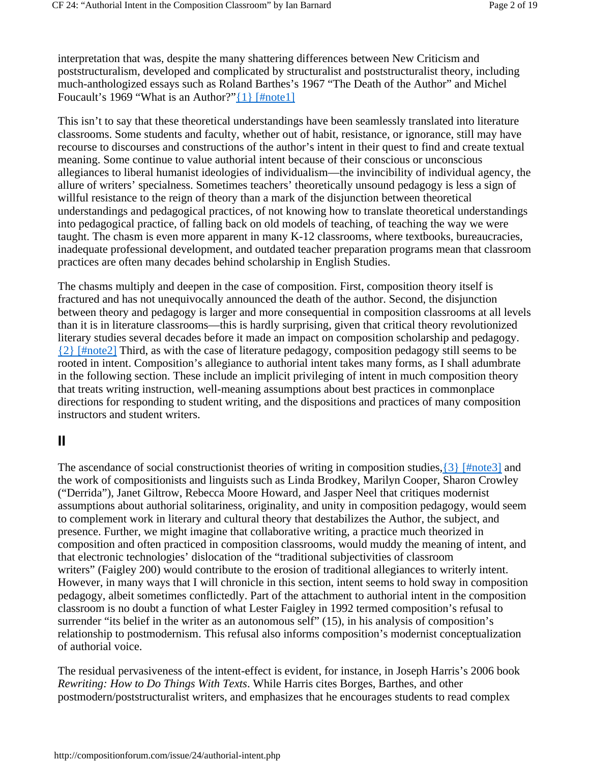interpretation that was, despite the many shattering differences between New Criticism and poststructuralism, developed and complicated by structuralist and poststructuralist theory, including much-anthologized essays such as Roland Barthes's 1967 "The Death of the Author" and Michel Foucault's 1969 "What is an Author?" $\{1\}$  [#note1]

This isn't to say that these theoretical understandings have been seamlessly translated into literature classrooms. Some students and faculty, whether out of habit, resistance, or ignorance, still may have recourse to discourses and constructions of the author's intent in their quest to find and create textual meaning. Some continue to value authorial intent because of their conscious or unconscious allegiances to liberal humanist ideologies of individualism—the invincibility of individual agency, the allure of writers' specialness. Sometimes teachers' theoretically unsound pedagogy is less a sign of willful resistance to the reign of theory than a mark of the disjunction between theoretical understandings and pedagogical practices, of not knowing how to translate theoretical understandings into pedagogical practice, of falling back on old models of teaching, of teaching the way we were taught. The chasm is even more apparent in many K-12 classrooms, where textbooks, bureaucracies, inadequate professional development, and outdated teacher preparation programs mean that classroom practices are often many decades behind scholarship in English Studies.

The chasms multiply and deepen in the case of composition. First, composition theory itself is fractured and has not unequivocally announced the death of the author. Second, the disjunction between theory and pedagogy is larger and more consequential in composition classrooms at all levels than it is in literature classrooms—this is hardly surprising, given that critical theory revolutionized literary studies several decades before it made an impact on composition scholarship and pedagogy. {2} [#note2] Third, as with the case of literature pedagogy, composition pedagogy still seems to be rooted in intent. Composition's allegiance to authorial intent takes many forms, as I shall adumbrate in the following section. These include an implicit privileging of intent in much composition theory that treats writing instruction, well-meaning assumptions about best practices in commonplace directions for responding to student writing, and the dispositions and practices of many composition instructors and student writers.

# **II**

The ascendance of social constructionist theories of writing in composition studies,  $\{3\}$  [#note3] and the work of compositionists and linguists such as Linda Brodkey, Marilyn Cooper, Sharon Crowley ("Derrida"), Janet Giltrow, Rebecca Moore Howard, and Jasper Neel that critiques modernist assumptions about authorial solitariness, originality, and unity in composition pedagogy, would seem to complement work in literary and cultural theory that destabilizes the Author, the subject, and presence. Further, we might imagine that collaborative writing, a practice much theorized in composition and often practiced in composition classrooms, would muddy the meaning of intent, and that electronic technologies' dislocation of the "traditional subjectivities of classroom writers" (Faigley 200) would contribute to the erosion of traditional allegiances to writerly intent. However, in many ways that I will chronicle in this section, intent seems to hold sway in composition pedagogy, albeit sometimes conflictedly. Part of the attachment to authorial intent in the composition classroom is no doubt a function of what Lester Faigley in 1992 termed composition's refusal to surrender "its belief in the writer as an autonomous self" (15), in his analysis of composition's relationship to postmodernism. This refusal also informs composition's modernist conceptualization of authorial voice.

The residual pervasiveness of the intent-effect is evident, for instance, in Joseph Harris's 2006 book *Rewriting: How to Do Things With Texts*. While Harris cites Borges, Barthes, and other postmodern/poststructuralist writers, and emphasizes that he encourages students to read complex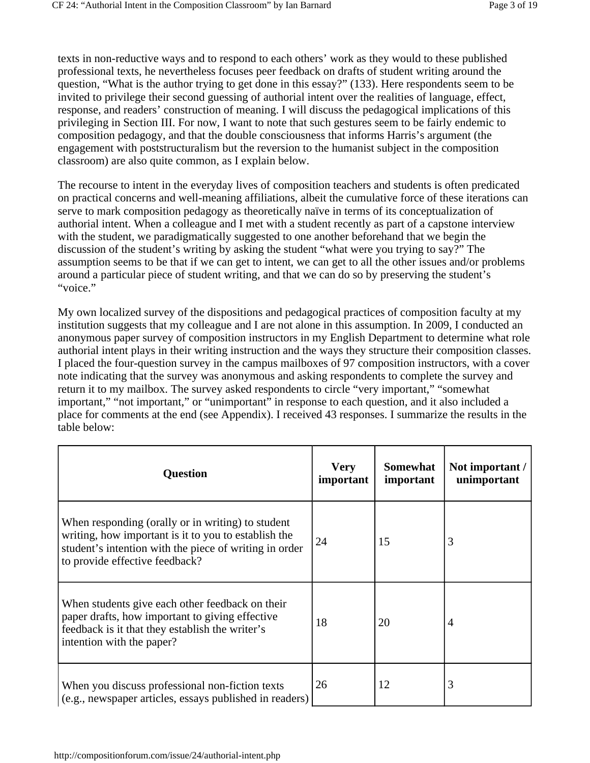texts in non-reductive ways and to respond to each others' work as they would to these published professional texts, he nevertheless focuses peer feedback on drafts of student writing around the question, "What is the author trying to get done in this essay?" (133). Here respondents seem to be invited to privilege their second guessing of authorial intent over the realities of language, effect, response, and readers' construction of meaning. I will discuss the pedagogical implications of this privileging in Section III. For now, I want to note that such gestures seem to be fairly endemic to composition pedagogy, and that the double consciousness that informs Harris's argument (the engagement with poststructuralism but the reversion to the humanist subject in the composition classroom) are also quite common, as I explain below.

The recourse to intent in the everyday lives of composition teachers and students is often predicated on practical concerns and well-meaning affiliations, albeit the cumulative force of these iterations can serve to mark composition pedagogy as theoretically naïve in terms of its conceptualization of authorial intent. When a colleague and I met with a student recently as part of a capstone interview with the student, we paradigmatically suggested to one another beforehand that we begin the discussion of the student's writing by asking the student "what were you trying to say?" The assumption seems to be that if we can get to intent, we can get to all the other issues and/or problems around a particular piece of student writing, and that we can do so by preserving the student's "voice."

My own localized survey of the dispositions and pedagogical practices of composition faculty at my institution suggests that my colleague and I are not alone in this assumption. In 2009, I conducted an anonymous paper survey of composition instructors in my English Department to determine what role authorial intent plays in their writing instruction and the ways they structure their composition classes. I placed the four-question survey in the campus mailboxes of 97 composition instructors, with a cover note indicating that the survey was anonymous and asking respondents to complete the survey and return it to my mailbox. The survey asked respondents to circle "very important," "somewhat important," "not important," or "unimportant" in response to each question, and it also included a place for comments at the end (see Appendix). I received 43 responses. I summarize the results in the table below:

| <b>Question</b>                                                                                                                                                                                       | <b>Very</b><br>important | <b>Somewhat</b><br>important | Not important /<br>unimportant |
|-------------------------------------------------------------------------------------------------------------------------------------------------------------------------------------------------------|--------------------------|------------------------------|--------------------------------|
| When responding (orally or in writing) to student<br>writing, how important is it to you to establish the<br>student's intention with the piece of writing in order<br>to provide effective feedback? | 24                       | 15                           | 3                              |
| When students give each other feedback on their<br>paper drafts, how important to giving effective<br>feedback is it that they establish the writer's<br>intention with the paper?                    | 18                       | 20                           | 4                              |
| When you discuss professional non-fiction texts<br>(e.g., newspaper articles, essays published in readers)                                                                                            | 26                       | 12                           | 3                              |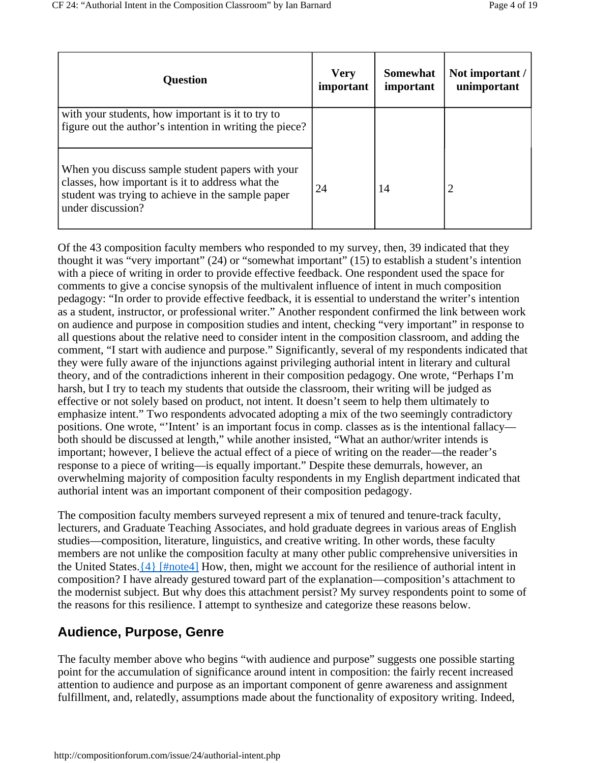| <b>Question</b>                                                                                                                                                                | <b>Very</b><br>important | Somewhat<br>important | Not important /<br>unimportant |
|--------------------------------------------------------------------------------------------------------------------------------------------------------------------------------|--------------------------|-----------------------|--------------------------------|
| with your students, how important is it to try to<br>figure out the author's intention in writing the piece?                                                                   |                          |                       |                                |
| When you discuss sample student papers with your<br>classes, how important is it to address what the<br>student was trying to achieve in the sample paper<br>under discussion? | 24                       | 14                    | 2                              |

Of the 43 composition faculty members who responded to my survey, then, 39 indicated that they thought it was "very important" (24) or "somewhat important" (15) to establish a student's intention with a piece of writing in order to provide effective feedback. One respondent used the space for comments to give a concise synopsis of the multivalent influence of intent in much composition pedagogy: "In order to provide effective feedback, it is essential to understand the writer's intention as a student, instructor, or professional writer." Another respondent confirmed the link between work on audience and purpose in composition studies and intent, checking "very important" in response to all questions about the relative need to consider intent in the composition classroom, and adding the comment, "I start with audience and purpose." Significantly, several of my respondents indicated that they were fully aware of the injunctions against privileging authorial intent in literary and cultural theory, and of the contradictions inherent in their composition pedagogy. One wrote, "Perhaps I'm harsh, but I try to teach my students that outside the classroom, their writing will be judged as effective or not solely based on product, not intent. It doesn't seem to help them ultimately to emphasize intent." Two respondents advocated adopting a mix of the two seemingly contradictory positions. One wrote, "'Intent' is an important focus in comp. classes as is the intentional fallacy both should be discussed at length," while another insisted, "What an author/writer intends is important; however, I believe the actual effect of a piece of writing on the reader—the reader's response to a piece of writing—is equally important." Despite these demurrals, however, an overwhelming majority of composition faculty respondents in my English department indicated that authorial intent was an important component of their composition pedagogy.

The composition faculty members surveyed represent a mix of tenured and tenure-track faculty, lecturers, and Graduate Teaching Associates, and hold graduate degrees in various areas of English studies—composition, literature, linguistics, and creative writing. In other words, these faculty members are not unlike the composition faculty at many other public comprehensive universities in the United States. $\{4\}$  [#note4] How, then, might we account for the resilience of authorial intent in composition? I have already gestured toward part of the explanation—composition's attachment to the modernist subject. But why does this attachment persist? My survey respondents point to some of the reasons for this resilience. I attempt to synthesize and categorize these reasons below.

# **Audience, Purpose, Genre**

The faculty member above who begins "with audience and purpose" suggests one possible starting point for the accumulation of significance around intent in composition: the fairly recent increased attention to audience and purpose as an important component of genre awareness and assignment fulfillment, and, relatedly, assumptions made about the functionality of expository writing. Indeed,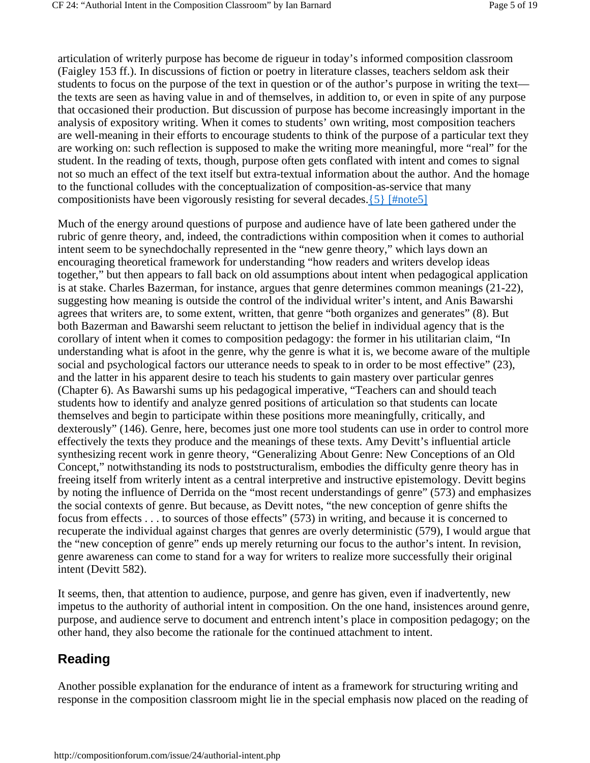articulation of writerly purpose has become de rigueur in today's informed composition classroom (Faigley 153 ff.). In discussions of fiction or poetry in literature classes, teachers seldom ask their students to focus on the purpose of the text in question or of the author's purpose in writing the text the texts are seen as having value in and of themselves, in addition to, or even in spite of any purpose that occasioned their production. But discussion of purpose has become increasingly important in the analysis of expository writing. When it comes to students' own writing, most composition teachers are well-meaning in their efforts to encourage students to think of the purpose of a particular text they are working on: such reflection is supposed to make the writing more meaningful, more "real" for the student. In the reading of texts, though, purpose often gets conflated with intent and comes to signal not so much an effect of the text itself but extra-textual information about the author. And the homage to the functional colludes with the conceptualization of composition-as-service that many compositionists have been vigorously resisting for several decades.{5} [#note5]

Much of the energy around questions of purpose and audience have of late been gathered under the rubric of genre theory, and, indeed, the contradictions within composition when it comes to authorial intent seem to be synechdochally represented in the "new genre theory," which lays down an encouraging theoretical framework for understanding "how readers and writers develop ideas together," but then appears to fall back on old assumptions about intent when pedagogical application is at stake. Charles Bazerman, for instance, argues that genre determines common meanings (21-22), suggesting how meaning is outside the control of the individual writer's intent, and Anis Bawarshi agrees that writers are, to some extent, written, that genre "both organizes and generates" (8). But both Bazerman and Bawarshi seem reluctant to jettison the belief in individual agency that is the corollary of intent when it comes to composition pedagogy: the former in his utilitarian claim, "In understanding what is afoot in the genre, why the genre is what it is, we become aware of the multiple social and psychological factors our utterance needs to speak to in order to be most effective" (23), and the latter in his apparent desire to teach his students to gain mastery over particular genres (Chapter 6). As Bawarshi sums up his pedagogical imperative, "Teachers can and should teach students how to identify and analyze genred positions of articulation so that students can locate themselves and begin to participate within these positions more meaningfully, critically, and dexterously" (146). Genre, here, becomes just one more tool students can use in order to control more effectively the texts they produce and the meanings of these texts. Amy Devitt's influential article synthesizing recent work in genre theory, "Generalizing About Genre: New Conceptions of an Old Concept," notwithstanding its nods to poststructuralism, embodies the difficulty genre theory has in freeing itself from writerly intent as a central interpretive and instructive epistemology. Devitt begins by noting the influence of Derrida on the "most recent understandings of genre" (573) and emphasizes the social contexts of genre. But because, as Devitt notes, "the new conception of genre shifts the focus from effects . . . to sources of those effects" (573) in writing, and because it is concerned to recuperate the individual against charges that genres are overly deterministic (579), I would argue that the "new conception of genre" ends up merely returning our focus to the author's intent. In revision, genre awareness can come to stand for a way for writers to realize more successfully their original intent (Devitt 582).

It seems, then, that attention to audience, purpose, and genre has given, even if inadvertently, new impetus to the authority of authorial intent in composition. On the one hand, insistences around genre, purpose, and audience serve to document and entrench intent's place in composition pedagogy; on the other hand, they also become the rationale for the continued attachment to intent.

### **Reading**

Another possible explanation for the endurance of intent as a framework for structuring writing and response in the composition classroom might lie in the special emphasis now placed on the reading of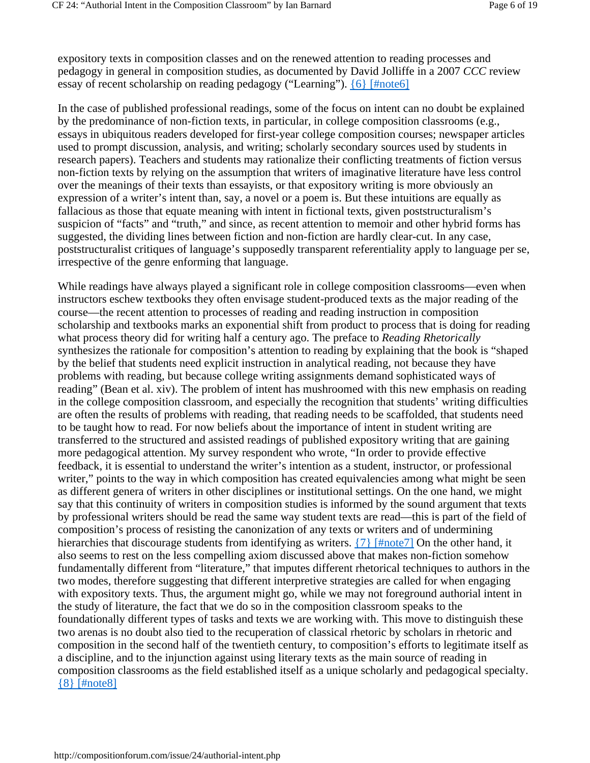expository texts in composition classes and on the renewed attention to reading processes and pedagogy in general in composition studies, as documented by David Jolliffe in a 2007 *CCC* review essay of recent scholarship on reading pedagogy ("Learning"). {6} [#note6]

In the case of published professional readings, some of the focus on intent can no doubt be explained by the predominance of non-fiction texts, in particular, in college composition classrooms (e.g., essays in ubiquitous readers developed for first-year college composition courses; newspaper articles used to prompt discussion, analysis, and writing; scholarly secondary sources used by students in research papers). Teachers and students may rationalize their conflicting treatments of fiction versus non-fiction texts by relying on the assumption that writers of imaginative literature have less control over the meanings of their texts than essayists, or that expository writing is more obviously an expression of a writer's intent than, say, a novel or a poem is. But these intuitions are equally as fallacious as those that equate meaning with intent in fictional texts, given poststructuralism's suspicion of "facts" and "truth," and since, as recent attention to memoir and other hybrid forms has suggested, the dividing lines between fiction and non-fiction are hardly clear-cut. In any case, poststructuralist critiques of language's supposedly transparent referentiality apply to language per se, irrespective of the genre enforming that language.

While readings have always played a significant role in college composition classrooms—even when instructors eschew textbooks they often envisage student-produced texts as the major reading of the course—the recent attention to processes of reading and reading instruction in composition scholarship and textbooks marks an exponential shift from product to process that is doing for reading what process theory did for writing half a century ago. The preface to *Reading Rhetorically* synthesizes the rationale for composition's attention to reading by explaining that the book is "shaped by the belief that students need explicit instruction in analytical reading, not because they have problems with reading, but because college writing assignments demand sophisticated ways of reading" (Bean et al. xiv). The problem of intent has mushroomed with this new emphasis on reading in the college composition classroom, and especially the recognition that students' writing difficulties are often the results of problems with reading, that reading needs to be scaffolded, that students need to be taught how to read. For now beliefs about the importance of intent in student writing are transferred to the structured and assisted readings of published expository writing that are gaining more pedagogical attention. My survey respondent who wrote, "In order to provide effective feedback, it is essential to understand the writer's intention as a student, instructor, or professional writer," points to the way in which composition has created equivalencies among what might be seen as different genera of writers in other disciplines or institutional settings. On the one hand, we might say that this continuity of writers in composition studies is informed by the sound argument that texts by professional writers should be read the same way student texts are read—this is part of the field of composition's process of resisting the canonization of any texts or writers and of undermining hierarchies that discourage students from identifying as writers. {7} [#note7] On the other hand, it also seems to rest on the less compelling axiom discussed above that makes non-fiction somehow fundamentally different from "literature," that imputes different rhetorical techniques to authors in the two modes, therefore suggesting that different interpretive strategies are called for when engaging with expository texts. Thus, the argument might go, while we may not foreground authorial intent in the study of literature, the fact that we do so in the composition classroom speaks to the foundationally different types of tasks and texts we are working with. This move to distinguish these two arenas is no doubt also tied to the recuperation of classical rhetoric by scholars in rhetoric and composition in the second half of the twentieth century, to composition's efforts to legitimate itself as a discipline, and to the injunction against using literary texts as the main source of reading in composition classrooms as the field established itself as a unique scholarly and pedagogical specialty. {8} [#note8]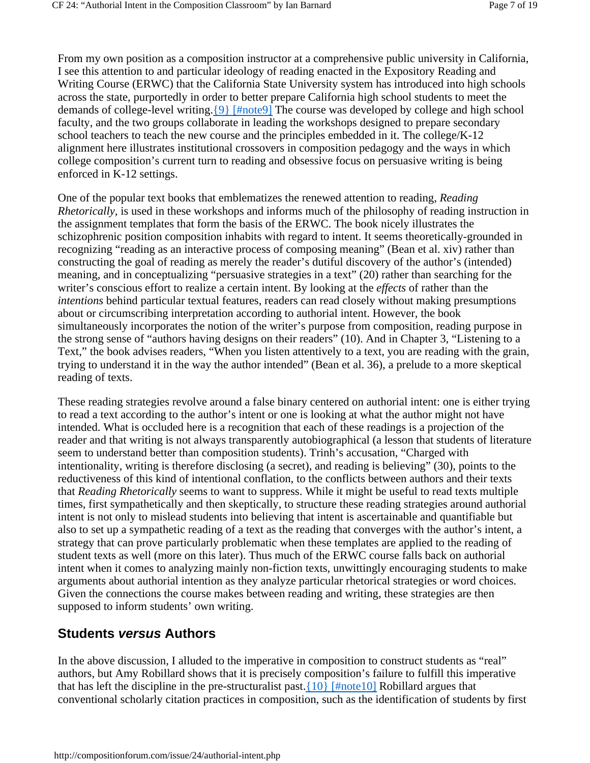From my own position as a composition instructor at a comprehensive public university in California, I see this attention to and particular ideology of reading enacted in the Expository Reading and Writing Course (ERWC) that the California State University system has introduced into high schools across the state, purportedly in order to better prepare California high school students to meet the demands of college-level writing. [9] [#note9] The course was developed by college and high school faculty, and the two groups collaborate in leading the workshops designed to prepare secondary school teachers to teach the new course and the principles embedded in it. The college/K-12 alignment here illustrates institutional crossovers in composition pedagogy and the ways in which college composition's current turn to reading and obsessive focus on persuasive writing is being enforced in K-12 settings.

One of the popular text books that emblematizes the renewed attention to reading, *Reading Rhetorically,* is used in these workshops and informs much of the philosophy of reading instruction in the assignment templates that form the basis of the ERWC. The book nicely illustrates the schizophrenic position composition inhabits with regard to intent. It seems theoretically-grounded in recognizing "reading as an interactive process of composing meaning" (Bean et al. xiv) rather than constructing the goal of reading as merely the reader's dutiful discovery of the author's (intended) meaning, and in conceptualizing "persuasive strategies in a text" (20) rather than searching for the writer's conscious effort to realize a certain intent. By looking at the *effects* of rather than the *intentions* behind particular textual features, readers can read closely without making presumptions about or circumscribing interpretation according to authorial intent. However, the book simultaneously incorporates the notion of the writer's purpose from composition, reading purpose in the strong sense of "authors having designs on their readers" (10). And in Chapter 3, "Listening to a Text," the book advises readers, "When you listen attentively to a text, you are reading with the grain, trying to understand it in the way the author intended" (Bean et al. 36), a prelude to a more skeptical reading of texts.

These reading strategies revolve around a false binary centered on authorial intent: one is either trying to read a text according to the author's intent or one is looking at what the author might not have intended. What is occluded here is a recognition that each of these readings is a projection of the reader and that writing is not always transparently autobiographical (a lesson that students of literature seem to understand better than composition students). Trinh's accusation, "Charged with intentionality, writing is therefore disclosing (a secret), and reading is believing" (30), points to the reductiveness of this kind of intentional conflation, to the conflicts between authors and their texts that *Reading Rhetorically* seems to want to suppress. While it might be useful to read texts multiple times, first sympathetically and then skeptically, to structure these reading strategies around authorial intent is not only to mislead students into believing that intent is ascertainable and quantifiable but also to set up a sympathetic reading of a text as the reading that converges with the author's intent, a strategy that can prove particularly problematic when these templates are applied to the reading of student texts as well (more on this later). Thus much of the ERWC course falls back on authorial intent when it comes to analyzing mainly non-fiction texts, unwittingly encouraging students to make arguments about authorial intention as they analyze particular rhetorical strategies or word choices. Given the connections the course makes between reading and writing, these strategies are then supposed to inform students' own writing.

### **Students** *versus* **Authors**

In the above discussion, I alluded to the imperative in composition to construct students as "real" authors, but Amy Robillard shows that it is precisely composition's failure to fulfill this imperative that has left the discipline in the pre-structuralist past.  $\{10\}$  [#note10] Robillard argues that conventional scholarly citation practices in composition, such as the identification of students by first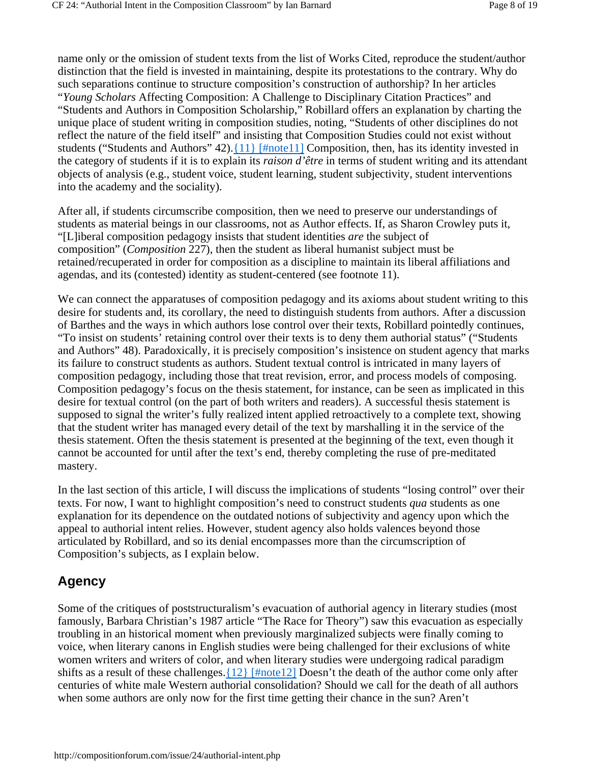name only or the omission of student texts from the list of Works Cited, reproduce the student/author distinction that the field is invested in maintaining, despite its protestations to the contrary. Why do such separations continue to structure composition's construction of authorship? In her articles "*Young Scholars* Affecting Composition: A Challenge to Disciplinary Citation Practices" and "Students and Authors in Composition Scholarship," Robillard offers an explanation by charting the unique place of student writing in composition studies, noting, "Students of other disciplines do not reflect the nature of the field itself" and insisting that Composition Studies could not exist without

students ("Students and Authors" 42).{11} [#note11] Composition, then, has its identity invested in the category of students if it is to explain its *raison d'être* in terms of student writing and its attendant objects of analysis (e.g., student voice, student learning, student subjectivity, student interventions into the academy and the sociality).

After all, if students circumscribe composition, then we need to preserve our understandings of students as material beings in our classrooms, not as Author effects. If, as Sharon Crowley puts it, "[L]iberal composition pedagogy insists that student identities *are* the subject of composition" (*Composition* 227), then the student as liberal humanist subject must be retained/recuperated in order for composition as a discipline to maintain its liberal affiliations and agendas, and its (contested) identity as student-centered (see footnote 11).

We can connect the apparatuses of composition pedagogy and its axioms about student writing to this desire for students and, its corollary, the need to distinguish students from authors. After a discussion of Barthes and the ways in which authors lose control over their texts, Robillard pointedly continues, "To insist on students' retaining control over their texts is to deny them authorial status" ("Students and Authors" 48). Paradoxically, it is precisely composition's insistence on student agency that marks its failure to construct students as authors. Student textual control is intricated in many layers of composition pedagogy, including those that treat revision, error, and process models of composing. Composition pedagogy's focus on the thesis statement, for instance, can be seen as implicated in this desire for textual control (on the part of both writers and readers). A successful thesis statement is supposed to signal the writer's fully realized intent applied retroactively to a complete text, showing that the student writer has managed every detail of the text by marshalling it in the service of the thesis statement. Often the thesis statement is presented at the beginning of the text, even though it cannot be accounted for until after the text's end, thereby completing the ruse of pre-meditated mastery.

In the last section of this article, I will discuss the implications of students "losing control" over their texts. For now, I want to highlight composition's need to construct students *qua* students as one explanation for its dependence on the outdated notions of subjectivity and agency upon which the appeal to authorial intent relies. However, student agency also holds valences beyond those articulated by Robillard, and so its denial encompasses more than the circumscription of Composition's subjects, as I explain below.

# **Agency**

Some of the critiques of poststructuralism's evacuation of authorial agency in literary studies (most famously, Barbara Christian's 1987 article "The Race for Theory") saw this evacuation as especially troubling in an historical moment when previously marginalized subjects were finally coming to voice, when literary canons in English studies were being challenged for their exclusions of white women writers and writers of color, and when literary studies were undergoing radical paradigm shifts as a result of these challenges.  $\{12\}$  [#note12] Doesn't the death of the author come only after centuries of white male Western authorial consolidation? Should we call for the death of all authors when some authors are only now for the first time getting their chance in the sun? Aren't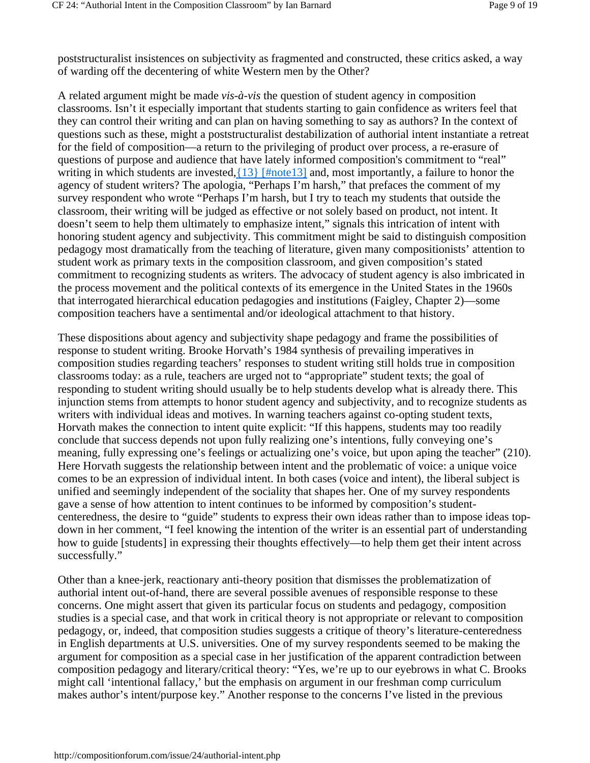poststructuralist insistences on subjectivity as fragmented and constructed, these critics asked, a way of warding off the decentering of white Western men by the Other?

A related argument might be made *vis-à-vis* the question of student agency in composition classrooms. Isn't it especially important that students starting to gain confidence as writers feel that they can control their writing and can plan on having something to say as authors? In the context of questions such as these, might a poststructuralist destabilization of authorial intent instantiate a retreat for the field of composition—a return to the privileging of product over process, a re-erasure of questions of purpose and audience that have lately informed composition's commitment to "real" writing in which students are invested,  $\{13\}$  [#note13] and, most importantly, a failure to honor the agency of student writers? The apologia, "Perhaps I'm harsh," that prefaces the comment of my survey respondent who wrote "Perhaps I'm harsh, but I try to teach my students that outside the classroom, their writing will be judged as effective or not solely based on product, not intent. It doesn't seem to help them ultimately to emphasize intent," signals this intrication of intent with honoring student agency and subjectivity. This commitment might be said to distinguish composition pedagogy most dramatically from the teaching of literature, given many compositionists' attention to student work as primary texts in the composition classroom, and given composition's stated commitment to recognizing students as writers. The advocacy of student agency is also imbricated in the process movement and the political contexts of its emergence in the United States in the 1960s that interrogated hierarchical education pedagogies and institutions (Faigley, Chapter 2)—some composition teachers have a sentimental and/or ideological attachment to that history.

These dispositions about agency and subjectivity shape pedagogy and frame the possibilities of response to student writing. Brooke Horvath's 1984 synthesis of prevailing imperatives in composition studies regarding teachers' responses to student writing still holds true in composition classrooms today: as a rule, teachers are urged not to "appropriate" student texts; the goal of responding to student writing should usually be to help students develop what is already there. This injunction stems from attempts to honor student agency and subjectivity, and to recognize students as writers with individual ideas and motives. In warning teachers against co-opting student texts, Horvath makes the connection to intent quite explicit: "If this happens, students may too readily conclude that success depends not upon fully realizing one's intentions, fully conveying one's meaning, fully expressing one's feelings or actualizing one's voice, but upon aping the teacher" (210). Here Horvath suggests the relationship between intent and the problematic of voice: a unique voice comes to be an expression of individual intent. In both cases (voice and intent), the liberal subject is unified and seemingly independent of the sociality that shapes her. One of my survey respondents gave a sense of how attention to intent continues to be informed by composition's studentcenteredness, the desire to "guide" students to express their own ideas rather than to impose ideas topdown in her comment, "I feel knowing the intention of the writer is an essential part of understanding how to guide [students] in expressing their thoughts effectively—to help them get their intent across successfully."

Other than a knee-jerk, reactionary anti-theory position that dismisses the problematization of authorial intent out-of-hand, there are several possible avenues of responsible response to these concerns. One might assert that given its particular focus on students and pedagogy, composition studies is a special case, and that work in critical theory is not appropriate or relevant to composition pedagogy, or, indeed, that composition studies suggests a critique of theory's literature-centeredness in English departments at U.S. universities. One of my survey respondents seemed to be making the argument for composition as a special case in her justification of the apparent contradiction between composition pedagogy and literary/critical theory: "Yes, we're up to our eyebrows in what C. Brooks might call 'intentional fallacy,' but the emphasis on argument in our freshman comp curriculum makes author's intent/purpose key." Another response to the concerns I've listed in the previous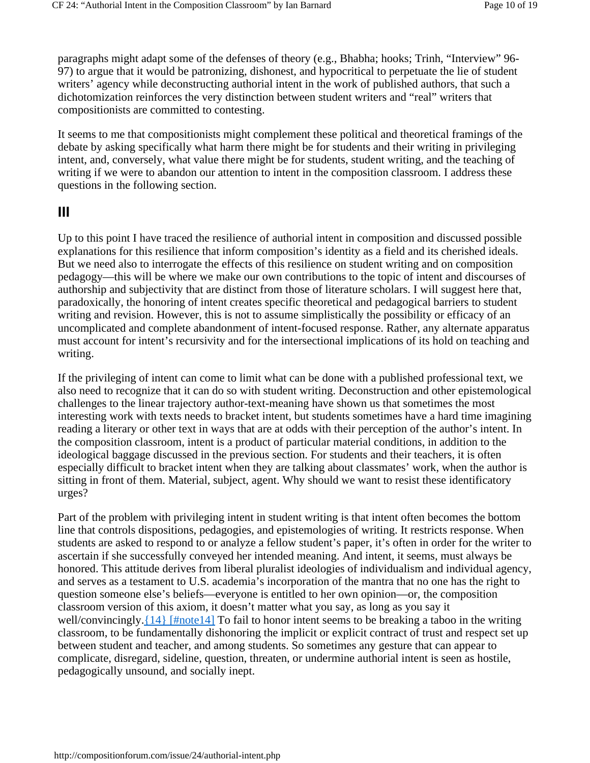paragraphs might adapt some of the defenses of theory (e.g., Bhabha; hooks; Trinh, "Interview" 96- 97) to argue that it would be patronizing, dishonest, and hypocritical to perpetuate the lie of student writers' agency while deconstructing authorial intent in the work of published authors, that such a dichotomization reinforces the very distinction between student writers and "real" writers that compositionists are committed to contesting.

It seems to me that compositionists might complement these political and theoretical framings of the debate by asking specifically what harm there might be for students and their writing in privileging intent, and, conversely, what value there might be for students, student writing, and the teaching of writing if we were to abandon our attention to intent in the composition classroom. I address these questions in the following section.

## **III**

Up to this point I have traced the resilience of authorial intent in composition and discussed possible explanations for this resilience that inform composition's identity as a field and its cherished ideals. But we need also to interrogate the effects of this resilience on student writing and on composition pedagogy—this will be where we make our own contributions to the topic of intent and discourses of authorship and subjectivity that are distinct from those of literature scholars. I will suggest here that, paradoxically, the honoring of intent creates specific theoretical and pedagogical barriers to student writing and revision. However, this is not to assume simplistically the possibility or efficacy of an uncomplicated and complete abandonment of intent-focused response. Rather, any alternate apparatus must account for intent's recursivity and for the intersectional implications of its hold on teaching and writing.

If the privileging of intent can come to limit what can be done with a published professional text, we also need to recognize that it can do so with student writing. Deconstruction and other epistemological challenges to the linear trajectory author-text-meaning have shown us that sometimes the most interesting work with texts needs to bracket intent, but students sometimes have a hard time imagining reading a literary or other text in ways that are at odds with their perception of the author's intent. In the composition classroom, intent is a product of particular material conditions, in addition to the ideological baggage discussed in the previous section. For students and their teachers, it is often especially difficult to bracket intent when they are talking about classmates' work, when the author is sitting in front of them. Material, subject, agent. Why should we want to resist these identificatory urges?

Part of the problem with privileging intent in student writing is that intent often becomes the bottom line that controls dispositions, pedagogies, and epistemologies of writing. It restricts response. When students are asked to respond to or analyze a fellow student's paper, it's often in order for the writer to ascertain if she successfully conveyed her intended meaning. And intent, it seems, must always be honored. This attitude derives from liberal pluralist ideologies of individualism and individual agency, and serves as a testament to U.S. academia's incorporation of the mantra that no one has the right to question someone else's beliefs—everyone is entitled to her own opinion—or, the composition classroom version of this axiom, it doesn't matter what you say, as long as you say it well/convincingly.{14} [#note14] To fail to honor intent seems to be breaking a taboo in the writing classroom, to be fundamentally dishonoring the implicit or explicit contract of trust and respect set up between student and teacher, and among students. So sometimes any gesture that can appear to complicate, disregard, sideline, question, threaten, or undermine authorial intent is seen as hostile, pedagogically unsound, and socially inept.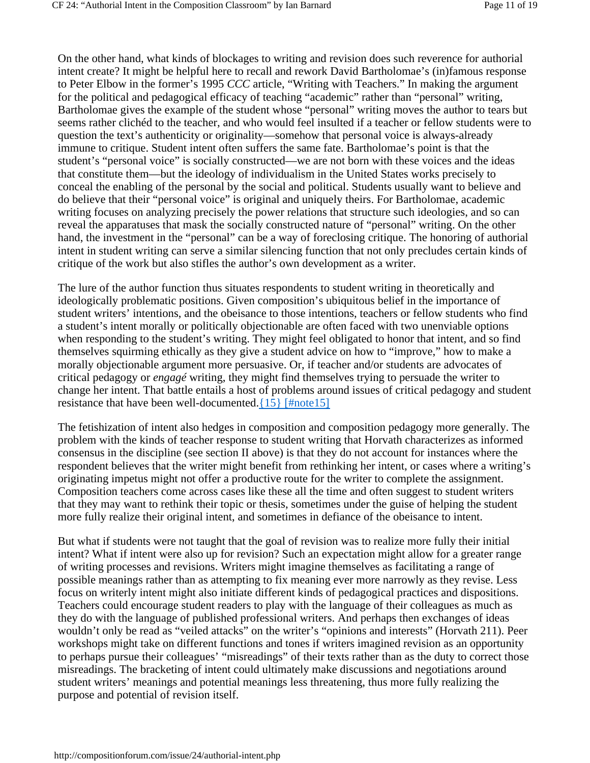On the other hand, what kinds of blockages to writing and revision does such reverence for authorial intent create? It might be helpful here to recall and rework David Bartholomae's (in)famous response to Peter Elbow in the former's 1995 *CCC* article, "Writing with Teachers." In making the argument for the political and pedagogical efficacy of teaching "academic" rather than "personal" writing, Bartholomae gives the example of the student whose "personal" writing moves the author to tears but seems rather clichéd to the teacher, and who would feel insulted if a teacher or fellow students were to question the text's authenticity or originality—somehow that personal voice is always-already immune to critique. Student intent often suffers the same fate. Bartholomae's point is that the student's "personal voice" is socially constructed—we are not born with these voices and the ideas that constitute them—but the ideology of individualism in the United States works precisely to conceal the enabling of the personal by the social and political. Students usually want to believe and do believe that their "personal voice" is original and uniquely theirs. For Bartholomae, academic writing focuses on analyzing precisely the power relations that structure such ideologies, and so can reveal the apparatuses that mask the socially constructed nature of "personal" writing. On the other hand, the investment in the "personal" can be a way of foreclosing critique. The honoring of authorial intent in student writing can serve a similar silencing function that not only precludes certain kinds of critique of the work but also stifles the author's own development as a writer.

The lure of the author function thus situates respondents to student writing in theoretically and ideologically problematic positions. Given composition's ubiquitous belief in the importance of student writers' intentions, and the obeisance to those intentions, teachers or fellow students who find a student's intent morally or politically objectionable are often faced with two unenviable options when responding to the student's writing. They might feel obligated to honor that intent, and so find themselves squirming ethically as they give a student advice on how to "improve," how to make a morally objectionable argument more persuasive. Or, if teacher and/or students are advocates of critical pedagogy or *engagé* writing, they might find themselves trying to persuade the writer to change her intent. That battle entails a host of problems around issues of critical pedagogy and student resistance that have been well-documented.{15} [#note15]

The fetishization of intent also hedges in composition and composition pedagogy more generally. The problem with the kinds of teacher response to student writing that Horvath characterizes as informed consensus in the discipline (see section II above) is that they do not account for instances where the respondent believes that the writer might benefit from rethinking her intent, or cases where a writing's originating impetus might not offer a productive route for the writer to complete the assignment. Composition teachers come across cases like these all the time and often suggest to student writers that they may want to rethink their topic or thesis, sometimes under the guise of helping the student more fully realize their original intent, and sometimes in defiance of the obeisance to intent.

But what if students were not taught that the goal of revision was to realize more fully their initial intent? What if intent were also up for revision? Such an expectation might allow for a greater range of writing processes and revisions. Writers might imagine themselves as facilitating a range of possible meanings rather than as attempting to fix meaning ever more narrowly as they revise. Less focus on writerly intent might also initiate different kinds of pedagogical practices and dispositions. Teachers could encourage student readers to play with the language of their colleagues as much as they do with the language of published professional writers. And perhaps then exchanges of ideas wouldn't only be read as "veiled attacks" on the writer's "opinions and interests" (Horvath 211). Peer workshops might take on different functions and tones if writers imagined revision as an opportunity to perhaps pursue their colleagues' "misreadings" of their texts rather than as the duty to correct those misreadings. The bracketing of intent could ultimately make discussions and negotiations around student writers' meanings and potential meanings less threatening, thus more fully realizing the purpose and potential of revision itself.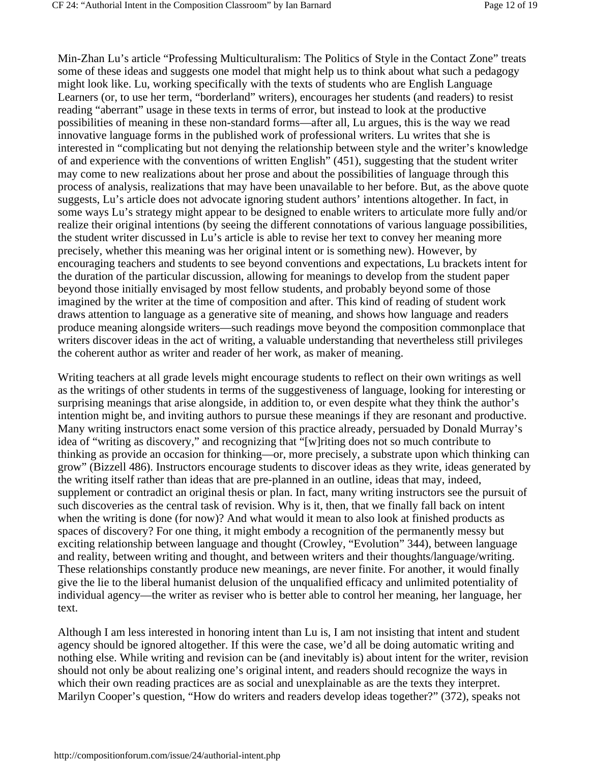Min-Zhan Lu's article "Professing Multiculturalism: The Politics of Style in the Contact Zone" treats some of these ideas and suggests one model that might help us to think about what such a pedagogy might look like. Lu, working specifically with the texts of students who are English Language Learners (or, to use her term, "borderland" writers), encourages her students (and readers) to resist reading "aberrant" usage in these texts in terms of error, but instead to look at the productive possibilities of meaning in these non-standard forms—after all, Lu argues, this is the way we read innovative language forms in the published work of professional writers. Lu writes that she is interested in "complicating but not denying the relationship between style and the writer's knowledge of and experience with the conventions of written English" (451), suggesting that the student writer may come to new realizations about her prose and about the possibilities of language through this process of analysis, realizations that may have been unavailable to her before. But, as the above quote suggests, Lu's article does not advocate ignoring student authors' intentions altogether. In fact, in some ways Lu's strategy might appear to be designed to enable writers to articulate more fully and/or realize their original intentions (by seeing the different connotations of various language possibilities, the student writer discussed in Lu's article is able to revise her text to convey her meaning more precisely, whether this meaning was her original intent or is something new). However, by encouraging teachers and students to see beyond conventions and expectations, Lu brackets intent for the duration of the particular discussion, allowing for meanings to develop from the student paper beyond those initially envisaged by most fellow students, and probably beyond some of those imagined by the writer at the time of composition and after. This kind of reading of student work draws attention to language as a generative site of meaning, and shows how language and readers produce meaning alongside writers—such readings move beyond the composition commonplace that writers discover ideas in the act of writing, a valuable understanding that nevertheless still privileges the coherent author as writer and reader of her work, as maker of meaning.

Writing teachers at all grade levels might encourage students to reflect on their own writings as well as the writings of other students in terms of the suggestiveness of language, looking for interesting or surprising meanings that arise alongside, in addition to, or even despite what they think the author's intention might be, and inviting authors to pursue these meanings if they are resonant and productive. Many writing instructors enact some version of this practice already, persuaded by Donald Murray's idea of "writing as discovery," and recognizing that "[w]riting does not so much contribute to thinking as provide an occasion for thinking—or, more precisely, a substrate upon which thinking can grow" (Bizzell 486). Instructors encourage students to discover ideas as they write, ideas generated by the writing itself rather than ideas that are pre-planned in an outline, ideas that may, indeed, supplement or contradict an original thesis or plan. In fact, many writing instructors see the pursuit of such discoveries as the central task of revision. Why is it, then, that we finally fall back on intent when the writing is done (for now)? And what would it mean to also look at finished products as spaces of discovery? For one thing, it might embody a recognition of the permanently messy but exciting relationship between language and thought (Crowley, "Evolution" 344), between language and reality, between writing and thought, and between writers and their thoughts/language/writing. These relationships constantly produce new meanings, are never finite. For another, it would finally give the lie to the liberal humanist delusion of the unqualified efficacy and unlimited potentiality of individual agency—the writer as reviser who is better able to control her meaning, her language, her text.

Although I am less interested in honoring intent than Lu is, I am not insisting that intent and student agency should be ignored altogether. If this were the case, we'd all be doing automatic writing and nothing else. While writing and revision can be (and inevitably is) about intent for the writer, revision should not only be about realizing one's original intent, and readers should recognize the ways in which their own reading practices are as social and unexplainable as are the texts they interpret. Marilyn Cooper's question, "How do writers and readers develop ideas together?" (372), speaks not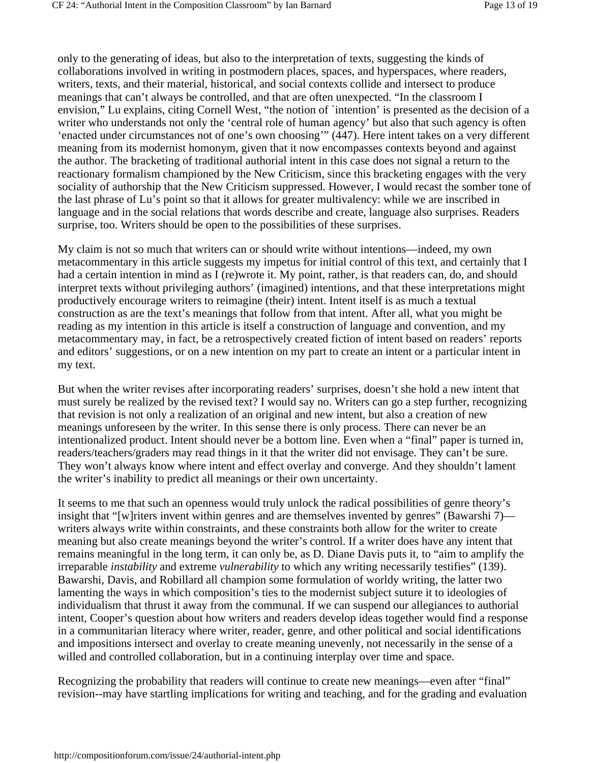only to the generating of ideas, but also to the interpretation of texts, suggesting the kinds of collaborations involved in writing in postmodern places, spaces, and hyperspaces, where readers, writers, texts, and their material, historical, and social contexts collide and intersect to produce meanings that can't always be controlled, and that are often unexpected. "In the classroom I envision," Lu explains, citing Cornell West, "the notion of `intention' is presented as the decision of a writer who understands not only the 'central role of human agency' but also that such agency is often 'enacted under circumstances not of one's own choosing'" (447). Here intent takes on a very different meaning from its modernist homonym, given that it now encompasses contexts beyond and against the author. The bracketing of traditional authorial intent in this case does not signal a return to the reactionary formalism championed by the New Criticism, since this bracketing engages with the very sociality of authorship that the New Criticism suppressed. However, I would recast the somber tone of the last phrase of Lu's point so that it allows for greater multivalency: while we are inscribed in language and in the social relations that words describe and create, language also surprises. Readers surprise, too. Writers should be open to the possibilities of these surprises.

My claim is not so much that writers can or should write without intentions—indeed, my own metacommentary in this article suggests my impetus for initial control of this text, and certainly that I had a certain intention in mind as I (re)wrote it. My point, rather, is that readers can, do, and should interpret texts without privileging authors' (imagined) intentions, and that these interpretations might productively encourage writers to reimagine (their) intent. Intent itself is as much a textual construction as are the text's meanings that follow from that intent. After all, what you might be reading as my intention in this article is itself a construction of language and convention, and my metacommentary may, in fact, be a retrospectively created fiction of intent based on readers' reports and editors' suggestions, or on a new intention on my part to create an intent or a particular intent in my text.

But when the writer revises after incorporating readers' surprises, doesn't she hold a new intent that must surely be realized by the revised text? I would say no. Writers can go a step further, recognizing that revision is not only a realization of an original and new intent, but also a creation of new meanings unforeseen by the writer. In this sense there is only process. There can never be an intentionalized product. Intent should never be a bottom line. Even when a "final" paper is turned in, readers/teachers/graders may read things in it that the writer did not envisage. They can't be sure. They won't always know where intent and effect overlay and converge. And they shouldn't lament the writer's inability to predict all meanings or their own uncertainty.

It seems to me that such an openness would truly unlock the radical possibilities of genre theory's insight that "[w]riters invent within genres and are themselves invented by genres" (Bawarshi 7) writers always write within constraints, and these constraints both allow for the writer to create meaning but also create meanings beyond the writer's control. If a writer does have any intent that remains meaningful in the long term, it can only be, as D. Diane Davis puts it, to "aim to amplify the irreparable *instability* and extreme *vulnerability* to which any writing necessarily testifies" (139). Bawarshi, Davis, and Robillard all champion some formulation of worldy writing, the latter two lamenting the ways in which composition's ties to the modernist subject suture it to ideologies of individualism that thrust it away from the communal. If we can suspend our allegiances to authorial intent, Cooper's question about how writers and readers develop ideas together would find a response in a communitarian literacy where writer, reader, genre, and other political and social identifications and impositions intersect and overlay to create meaning unevenly, not necessarily in the sense of a willed and controlled collaboration, but in a continuing interplay over time and space.

Recognizing the probability that readers will continue to create new meanings—even after "final" revision--may have startling implications for writing and teaching, and for the grading and evaluation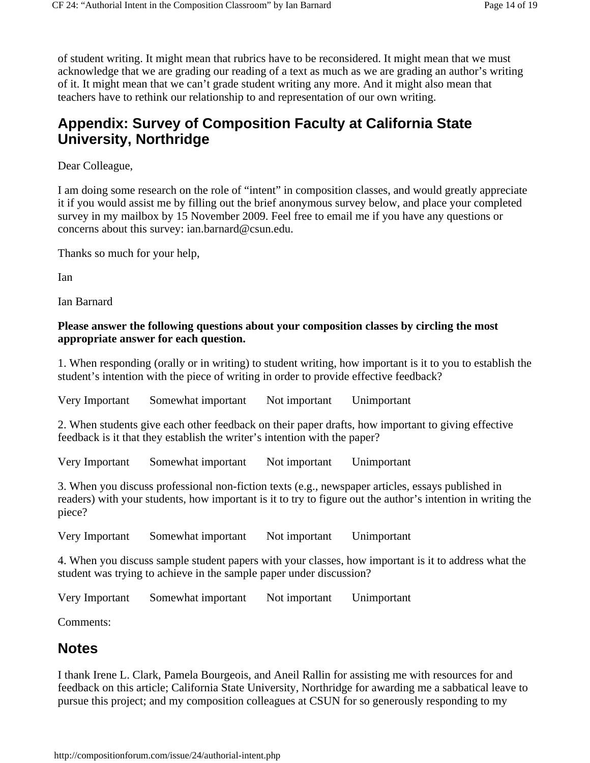of student writing. It might mean that rubrics have to be reconsidered. It might mean that we must acknowledge that we are grading our reading of a text as much as we are grading an author's writing of it. It might mean that we can't grade student writing any more. And it might also mean that teachers have to rethink our relationship to and representation of our own writing.

# **Appendix: Survey of Composition Faculty at California State University, Northridge**

Dear Colleague,

I am doing some research on the role of "intent" in composition classes, and would greatly appreciate it if you would assist me by filling out the brief anonymous survey below, and place your completed survey in my mailbox by 15 November 2009. Feel free to email me if you have any questions or concerns about this survey: ian.barnard@csun.edu.

Thanks so much for your help,

Ian

Ian Barnard

### **Please answer the following questions about your composition classes by circling the most appropriate answer for each question.**

1. When responding (orally or in writing) to student writing, how important is it to you to establish the student's intention with the piece of writing in order to provide effective feedback?

Very Important Somewhat important Not important Unimportant

2. When students give each other feedback on their paper drafts, how important to giving effective feedback is it that they establish the writer's intention with the paper?

Very Important Somewhat important Not important Unimportant

3. When you discuss professional non-fiction texts (e.g., newspaper articles, essays published in readers) with your students, how important is it to try to figure out the author's intention in writing the piece?

Very Important Somewhat important Not important Unimportant

4. When you discuss sample student papers with your classes, how important is it to address what the student was trying to achieve in the sample paper under discussion?

Very Important Somewhat important Not important Unimportant

Comments:

# **Notes**

I thank Irene L. Clark, Pamela Bourgeois, and Aneil Rallin for assisting me with resources for and feedback on this article; California State University, Northridge for awarding me a sabbatical leave to pursue this project; and my composition colleagues at CSUN for so generously responding to my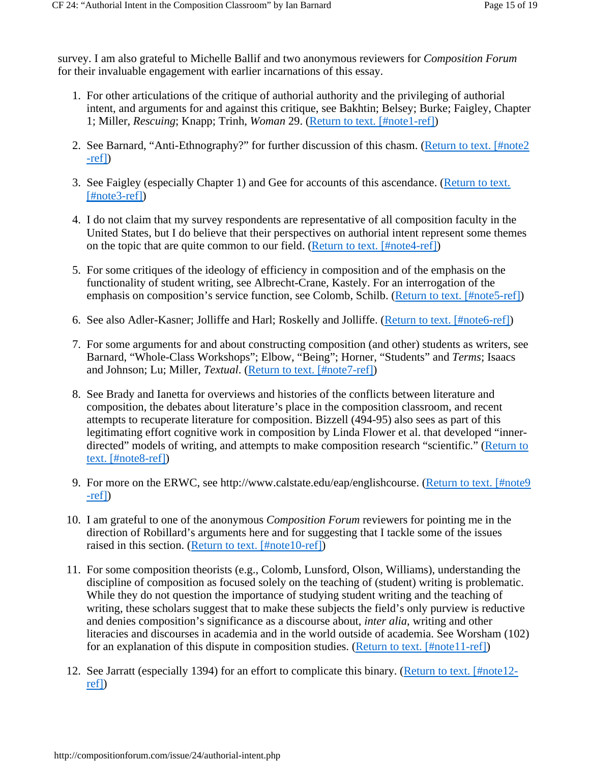survey. I am also grateful to Michelle Ballif and two anonymous reviewers for *Composition Forum* for their invaluable engagement with earlier incarnations of this essay.

- 1. For other articulations of the critique of authorial authority and the privileging of authorial intent, and arguments for and against this critique, see Bakhtin; Belsey; Burke; Faigley, Chapter 1; Miller, *Rescuing*; Knapp; Trinh, *Woman* 29. (Return to text. [#note1-ref])
- 2. See Barnard, "Anti-Ethnography?" for further discussion of this chasm. (Return to text. [#note2 -ref])
- 3. See Faigley (especially Chapter 1) and Gee for accounts of this ascendance. (Return to text. [#note3-ref])
- 4. I do not claim that my survey respondents are representative of all composition faculty in the United States, but I do believe that their perspectives on authorial intent represent some themes on the topic that are quite common to our field. (Return to text. [#note4-ref])
- 5. For some critiques of the ideology of efficiency in composition and of the emphasis on the functionality of student writing, see Albrecht-Crane, Kastely. For an interrogation of the emphasis on composition's service function, see Colomb, Schilb. (Return to text. [#note5-ref])
- 6. See also Adler-Kasner; Jolliffe and Harl; Roskelly and Jolliffe. (Return to text. [#note6-ref])
- 7. For some arguments for and about constructing composition (and other) students as writers, see Barnard, "Whole-Class Workshops"; Elbow, "Being"; Horner, "Students" and *Terms*; Isaacs and Johnson; Lu; Miller, *Textual*. (Return to text. [#note7-ref])
- See Brady and Ianetta for overviews and histories of the conflicts between literature and 8. composition, the debates about literature's place in the composition classroom, and recent attempts to recuperate literature for composition. Bizzell (494-95) also sees as part of this legitimating effort cognitive work in composition by Linda Flower et al. that developed "innerdirected" models of writing, and attempts to make composition research "scientific." (Return to text. [#note8-ref])
- 9. For more on the ERWC, see http://www.calstate.edu/eap/englishcourse. (Return to text. [#note9] -ref])
- 10. I am grateful to one of the anonymous *Composition Forum* reviewers for pointing me in the direction of Robillard's arguments here and for suggesting that I tackle some of the issues raised in this section. (Return to text. [#note10-ref])
- 11. For some composition theorists (e.g., Colomb, Lunsford, Olson, Williams), understanding the discipline of composition as focused solely on the teaching of (student) writing is problematic. While they do not question the importance of studying student writing and the teaching of writing, these scholars suggest that to make these subjects the field's only purview is reductive and denies composition's significance as a discourse about, *inter alia*, writing and other literacies and discourses in academia and in the world outside of academia. See Worsham (102) for an explanation of this dispute in composition studies. (Return to text. [#note11-ref])
- 12. See Jarratt (especially 1394) for an effort to complicate this binary. (Return to text. [#note12ref])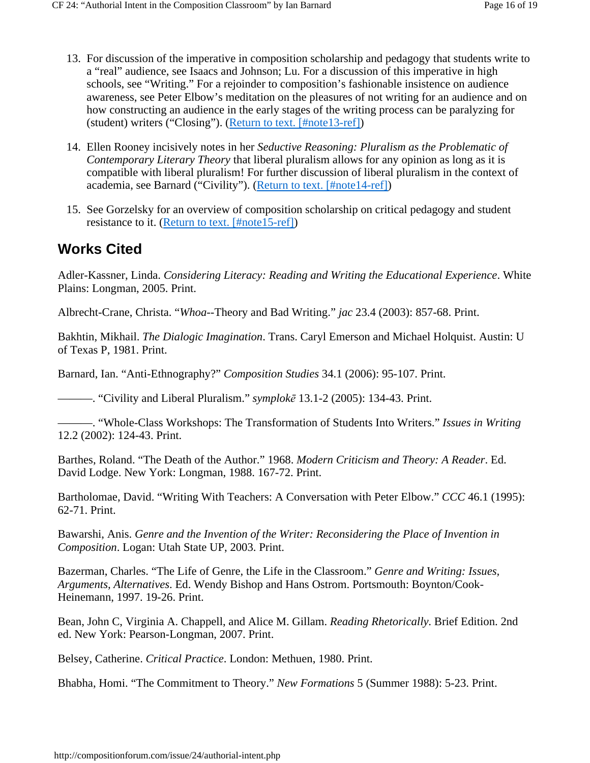- 13. For discussion of the imperative in composition scholarship and pedagogy that students write to a "real" audience, see Isaacs and Johnson; Lu. For a discussion of this imperative in high schools, see "Writing." For a rejoinder to composition's fashionable insistence on audience awareness, see Peter Elbow's meditation on the pleasures of not writing for an audience and on how constructing an audience in the early stages of the writing process can be paralyzing for (student) writers ("Closing"). (Return to text. [#note13-ref])
- Ellen Rooney incisively notes in her *Seductive Reasoning: Pluralism as the Problematic of*  14. *Contemporary Literary Theory* that liberal pluralism allows for any opinion as long as it is compatible with liberal pluralism! For further discussion of liberal pluralism in the context of academia, see Barnard ("Civility"). (Return to text. [#note14-ref])
- 15. See Gorzelsky for an overview of composition scholarship on critical pedagogy and student resistance to it. (Return to text. [#note15-ref])

# **Works Cited**

Adler-Kassner, Linda. *Considering Literacy: Reading and Writing the Educational Experience*. White Plains: Longman, 2005. Print.

Albrecht-Crane, Christa. "*Whoa*--Theory and Bad Writing." *jac* 23.4 (2003): 857-68. Print.

Bakhtin, Mikhail. *The Dialogic Imagination*. Trans. Caryl Emerson and Michael Holquist. Austin: U of Texas P, 1981. Print.

Barnard, Ian. "Anti-Ethnography?" *Composition Studies* 34.1 (2006): 95-107. Print.

———. "Civility and Liberal Pluralism." *symplokē* 13.1-2 (2005): 134-43. Print.

———. "Whole-Class Workshops: The Transformation of Students Into Writers." *Issues in Writing* 12.2 (2002): 124-43. Print.

Barthes, Roland. "The Death of the Author." 1968. *Modern Criticism and Theory: A Reader*. Ed. David Lodge. New York: Longman, 1988. 167-72. Print.

Bartholomae, David. "Writing With Teachers: A Conversation with Peter Elbow." *CCC* 46.1 (1995): 62-71. Print.

Bawarshi, Anis. *Genre and the Invention of the Writer: Reconsidering the Place of Invention in Composition*. Logan: Utah State UP, 2003. Print.

Bazerman, Charles. "The Life of Genre, the Life in the Classroom." *Genre and Writing: Issues, Arguments, Alternatives*. Ed. Wendy Bishop and Hans Ostrom. Portsmouth: Boynton/Cook-Heinemann, 1997. 19-26. Print.

Bean, John C, Virginia A. Chappell, and Alice M. Gillam. *Reading Rhetorically*. Brief Edition. 2nd ed. New York: Pearson-Longman, 2007. Print.

Belsey, Catherine. *Critical Practice*. London: Methuen, 1980. Print.

Bhabha, Homi. "The Commitment to Theory." *New Formations* 5 (Summer 1988): 5-23. Print.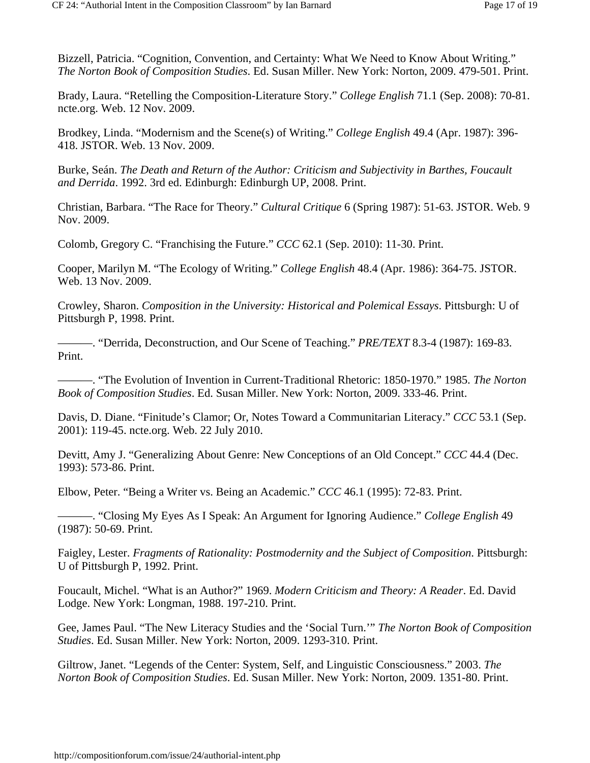Bizzell, Patricia. "Cognition, Convention, and Certainty: What We Need to Know About Writing." *The Norton Book of Composition Studies*. Ed. Susan Miller. New York: Norton, 2009. 479-501. Print.

Brady, Laura. "Retelling the Composition-Literature Story." *College English* 71.1 (Sep. 2008): 70-81. ncte.org. Web. 12 Nov. 2009.

Brodkey, Linda. "Modernism and the Scene(s) of Writing." *College English* 49.4 (Apr. 1987): 396- 418. JSTOR. Web. 13 Nov. 2009.

Burke, Seán. *The Death and Return of the Author: Criticism and Subjectivity in Barthes, Foucault and Derrida*. 1992. 3rd ed. Edinburgh: Edinburgh UP, 2008. Print.

Christian, Barbara. "The Race for Theory." *Cultural Critique* 6 (Spring 1987): 51-63. JSTOR. Web. 9 Nov. 2009.

Colomb, Gregory C. "Franchising the Future." *CCC* 62.1 (Sep. 2010): 11-30. Print.

Cooper, Marilyn M. "The Ecology of Writing." *College English* 48.4 (Apr. 1986): 364-75. JSTOR. Web. 13 Nov. 2009.

Crowley, Sharon. *Composition in the University: Historical and Polemical Essays*. Pittsburgh: U of Pittsburgh P, 1998. Print.

———. "Derrida, Deconstruction, and Our Scene of Teaching." *PRE/TEXT* 8.3-4 (1987): 169-83. Print.

———. "The Evolution of Invention in Current-Traditional Rhetoric: 1850-1970." 1985. *The Norton Book of Composition Studies*. Ed. Susan Miller. New York: Norton, 2009. 333-46. Print.

Davis, D. Diane. "Finitude's Clamor; Or, Notes Toward a Communitarian Literacy." *CCC* 53.1 (Sep. 2001): 119-45. ncte.org. Web. 22 July 2010.

Devitt, Amy J. "Generalizing About Genre: New Conceptions of an Old Concept." *CCC* 44.4 (Dec. 1993): 573-86. Print.

Elbow, Peter. "Being a Writer vs. Being an Academic." *CCC* 46.1 (1995): 72-83. Print.

———. "Closing My Eyes As I Speak: An Argument for Ignoring Audience." *College English* 49 (1987): 50-69. Print.

Faigley, Lester. *Fragments of Rationality: Postmodernity and the Subject of Composition*. Pittsburgh: U of Pittsburgh P, 1992. Print.

Foucault, Michel. "What is an Author?" 1969. *Modern Criticism and Theory: A Reader*. Ed. David Lodge. New York: Longman, 1988. 197-210. Print.

Gee, James Paul. "The New Literacy Studies and the 'Social Turn.'" *The Norton Book of Composition Studies*. Ed. Susan Miller. New York: Norton, 2009. 1293-310. Print.

Giltrow, Janet. "Legends of the Center: System, Self, and Linguistic Consciousness." 2003. *The Norton Book of Composition Studies*. Ed. Susan Miller. New York: Norton, 2009. 1351-80. Print.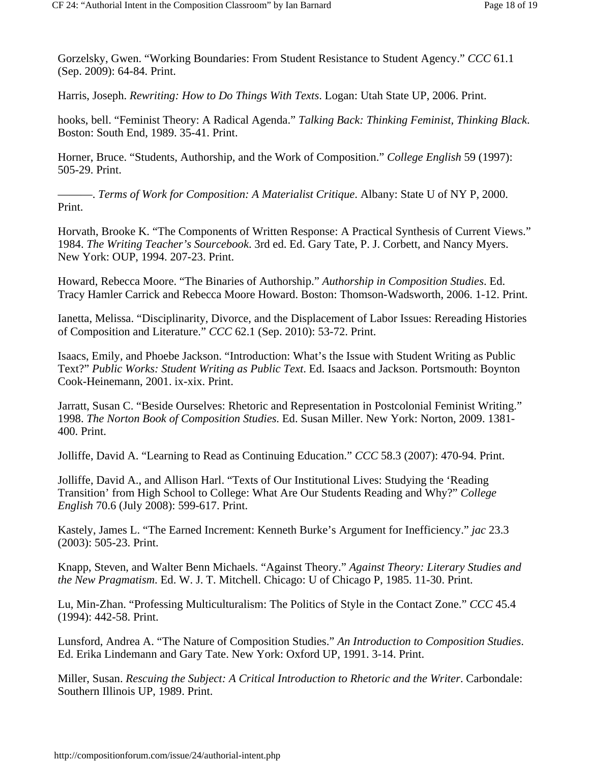Gorzelsky, Gwen. "Working Boundaries: From Student Resistance to Student Agency." *CCC* 61.1 (Sep. 2009): 64-84. Print.

Harris, Joseph. *Rewriting: How to Do Things With Texts*. Logan: Utah State UP, 2006. Print.

hooks, bell. "Feminist Theory: A Radical Agenda." *Talking Back: Thinking Feminist, Thinking Black*. Boston: South End, 1989. 35-41. Print.

Horner, Bruce. "Students, Authorship, and the Work of Composition." *College English* 59 (1997): 505-29. Print.

———. *Terms of Work for Composition: A Materialist Critique*. Albany: State U of NY P, 2000. Print.

Horvath, Brooke K. "The Components of Written Response: A Practical Synthesis of Current Views." 1984. *The Writing Teacher's Sourcebook*. 3rd ed. Ed. Gary Tate, P. J. Corbett, and Nancy Myers. New York: OUP, 1994. 207-23. Print.

Howard, Rebecca Moore. "The Binaries of Authorship." *Authorship in Composition Studies*. Ed. Tracy Hamler Carrick and Rebecca Moore Howard. Boston: Thomson-Wadsworth, 2006. 1-12. Print.

Ianetta, Melissa. "Disciplinarity, Divorce, and the Displacement of Labor Issues: Rereading Histories of Composition and Literature." *CCC* 62.1 (Sep. 2010): 53-72. Print.

Isaacs, Emily, and Phoebe Jackson. "Introduction: What's the Issue with Student Writing as Public Text?" *Public Works: Student Writing as Public Text*. Ed. Isaacs and Jackson. Portsmouth: Boynton Cook-Heinemann, 2001. ix-xix. Print.

Jarratt, Susan C. "Beside Ourselves: Rhetoric and Representation in Postcolonial Feminist Writing." 1998. *The Norton Book of Composition Studies*. Ed. Susan Miller. New York: Norton, 2009. 1381- 400. Print.

Jolliffe, David A. "Learning to Read as Continuing Education." *CCC* 58.3 (2007): 470-94. Print.

Jolliffe, David A., and Allison Harl. "Texts of Our Institutional Lives: Studying the 'Reading Transition' from High School to College: What Are Our Students Reading and Why?" *College English* 70.6 (July 2008): 599-617. Print.

Kastely, James L. "The Earned Increment: Kenneth Burke's Argument for Inefficiency." *jac* 23.3 (2003): 505-23. Print.

Knapp, Steven, and Walter Benn Michaels. "Against Theory." *Against Theory: Literary Studies and the New Pragmatism*. Ed. W. J. T. Mitchell. Chicago: U of Chicago P, 1985. 11-30. Print.

Lu, Min-Zhan. "Professing Multiculturalism: The Politics of Style in the Contact Zone." *CCC* 45.4 (1994): 442-58. Print.

Lunsford, Andrea A. "The Nature of Composition Studies." *An Introduction to Composition Studies*. Ed. Erika Lindemann and Gary Tate. New York: Oxford UP, 1991. 3-14. Print.

Miller, Susan. *Rescuing the Subject: A Critical Introduction to Rhetoric and the Writer*. Carbondale: Southern Illinois UP, 1989. Print.